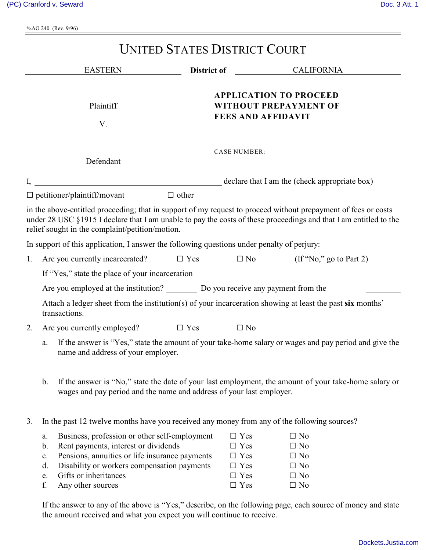OAO 240 (Rev. 9/96)

| <b>UNITED STATES DISTRICT COURT</b>                                                                                        |                                                                                                                                                                                                                                                                                      |                                                                                                                                                                               |                                                                                     |                                                                                  |                                                                                                                                                                                                                                     |  |  |  |  |
|----------------------------------------------------------------------------------------------------------------------------|--------------------------------------------------------------------------------------------------------------------------------------------------------------------------------------------------------------------------------------------------------------------------------------|-------------------------------------------------------------------------------------------------------------------------------------------------------------------------------|-------------------------------------------------------------------------------------|----------------------------------------------------------------------------------|-------------------------------------------------------------------------------------------------------------------------------------------------------------------------------------------------------------------------------------|--|--|--|--|
|                                                                                                                            | <b>EASTERN</b>                                                                                                                                                                                                                                                                       |                                                                                                                                                                               |                                                                                     |                                                                                  | District of CALIFORNIA                                                                                                                                                                                                              |  |  |  |  |
| Plaintiff<br>V.                                                                                                            |                                                                                                                                                                                                                                                                                      |                                                                                                                                                                               | <b>APPLICATION TO PROCEED</b><br>WITHOUT PREPAYMENT OF<br><b>FEES AND AFFIDAVIT</b> |                                                                                  |                                                                                                                                                                                                                                     |  |  |  |  |
|                                                                                                                            | Defendant                                                                                                                                                                                                                                                                            |                                                                                                                                                                               | <b>CASE NUMBER:</b>                                                                 |                                                                                  |                                                                                                                                                                                                                                     |  |  |  |  |
|                                                                                                                            |                                                                                                                                                                                                                                                                                      |                                                                                                                                                                               | declare that I am the (check appropriate box)                                       |                                                                                  |                                                                                                                                                                                                                                     |  |  |  |  |
|                                                                                                                            | $\Box$ petitioner/plaintiff/movant<br>relief sought in the complaint/petition/motion.<br>In support of this application, I answer the following questions under penalty of perjury:                                                                                                  | $\Box$ other                                                                                                                                                                  |                                                                                     |                                                                                  | in the above-entitled proceeding; that in support of my request to proceed without prepayment of fees or costs<br>under 28 USC §1915 I declare that I am unable to pay the costs of these proceedings and that I am entitled to the |  |  |  |  |
| 1.                                                                                                                         | Are you currently incarcerated?                                                                                                                                                                                                                                                      | $\Box$ Yes                                                                                                                                                                    | $\Box$ No                                                                           |                                                                                  | $($ If "No," go to Part 2)                                                                                                                                                                                                          |  |  |  |  |
|                                                                                                                            |                                                                                                                                                                                                                                                                                      |                                                                                                                                                                               |                                                                                     |                                                                                  |                                                                                                                                                                                                                                     |  |  |  |  |
|                                                                                                                            | If "Yes," state the place of your incarceration<br>Are you employed at the institution? Do you receive any payment from the                                                                                                                                                          |                                                                                                                                                                               |                                                                                     |                                                                                  |                                                                                                                                                                                                                                     |  |  |  |  |
| Attach a ledger sheet from the institution(s) of your incarceration showing at least the past six months'<br>transactions. |                                                                                                                                                                                                                                                                                      |                                                                                                                                                                               |                                                                                     |                                                                                  |                                                                                                                                                                                                                                     |  |  |  |  |
| 2.                                                                                                                         | Are you currently employed? $\square$ Yes                                                                                                                                                                                                                                            |                                                                                                                                                                               |                                                                                     | $\Box$ No                                                                        |                                                                                                                                                                                                                                     |  |  |  |  |
|                                                                                                                            | If the answer is "Yes," state the amount of your take-home salary or wages and pay period and give the<br>a.<br>name and address of your employer.                                                                                                                                   |                                                                                                                                                                               |                                                                                     |                                                                                  |                                                                                                                                                                                                                                     |  |  |  |  |
|                                                                                                                            | $\mathbf{b}$ .                                                                                                                                                                                                                                                                       | If the answer is "No," state the date of your last employment, the amount of your take-home salary or<br>wages and pay period and the name and address of your last employer. |                                                                                     |                                                                                  |                                                                                                                                                                                                                                     |  |  |  |  |
| 3.                                                                                                                         | In the past 12 twelve months have you received any money from any of the following sources?                                                                                                                                                                                          |                                                                                                                                                                               |                                                                                     |                                                                                  |                                                                                                                                                                                                                                     |  |  |  |  |
|                                                                                                                            | Business, profession or other self-employment<br>a.<br>Rent payments, interest or dividends<br>b.<br>Pensions, annuities or life insurance payments<br>$\mathbf{c}$ .<br>Disability or workers compensation payments<br>d.<br>Gifts or inheritances<br>e.<br>f.<br>Any other sources |                                                                                                                                                                               |                                                                                     | $\Box$ Yes<br>$\Box$ Yes<br>$\Box$ Yes<br>$\Box$ Yes<br>$\Box$ Yes<br>$\Box$ Yes | $\Box$ No<br>$\Box$ No<br>$\Box$ No<br>$\Box$ No<br>$\Box$ No<br>$\Box$ No                                                                                                                                                          |  |  |  |  |

If the answer to any of the above is "Yes," describe, on the following page, each source of money and state the amount received and what you expect you will continue to receive.